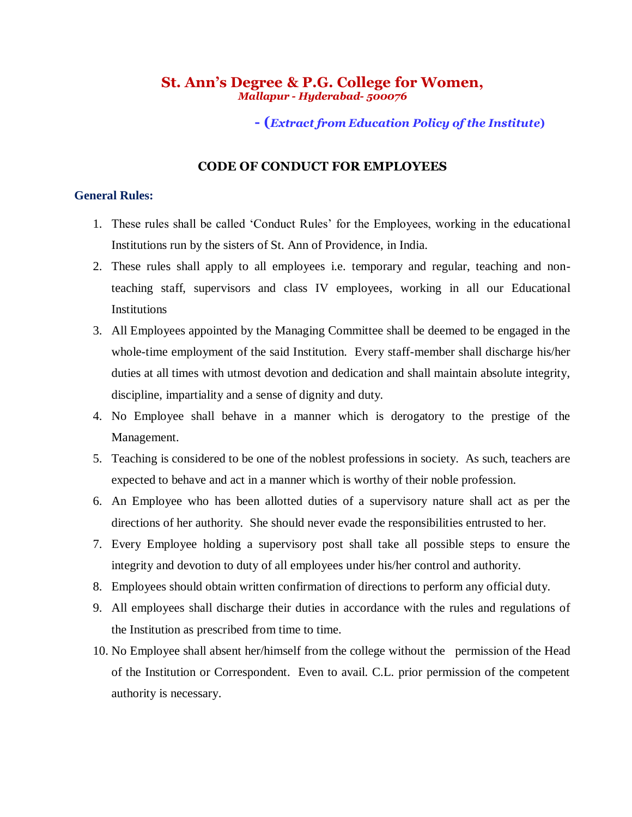# **St. Ann's Degree & P.G. College for Women,**  *Mallapur - Hyderabad- 500076*

# **- (***Extract from Education Policy of the Institute***)**

# **CODE OF CONDUCT FOR EMPLOYEES**

## **General Rules:**

- 1. These rules shall be called 'Conduct Rules' for the Employees, working in the educational Institutions run by the sisters of St. Ann of Providence, in India.
- 2. These rules shall apply to all employees i.e. temporary and regular, teaching and nonteaching staff, supervisors and class IV employees, working in all our Educational Institutions
- 3. All Employees appointed by the Managing Committee shall be deemed to be engaged in the whole-time employment of the said Institution. Every staff-member shall discharge his/her duties at all times with utmost devotion and dedication and shall maintain absolute integrity, discipline, impartiality and a sense of dignity and duty.
- 4. No Employee shall behave in a manner which is derogatory to the prestige of the Management.
- 5. Teaching is considered to be one of the noblest professions in society. As such, teachers are expected to behave and act in a manner which is worthy of their noble profession.
- 6. An Employee who has been allotted duties of a supervisory nature shall act as per the directions of her authority. She should never evade the responsibilities entrusted to her.
- 7. Every Employee holding a supervisory post shall take all possible steps to ensure the integrity and devotion to duty of all employees under his/her control and authority.
- 8. Employees should obtain written confirmation of directions to perform any official duty.
- 9. All employees shall discharge their duties in accordance with the rules and regulations of the Institution as prescribed from time to time.
- 10. No Employee shall absent her/himself from the college without the permission of the Head of the Institution or Correspondent. Even to avail. C.L. prior permission of the competent authority is necessary.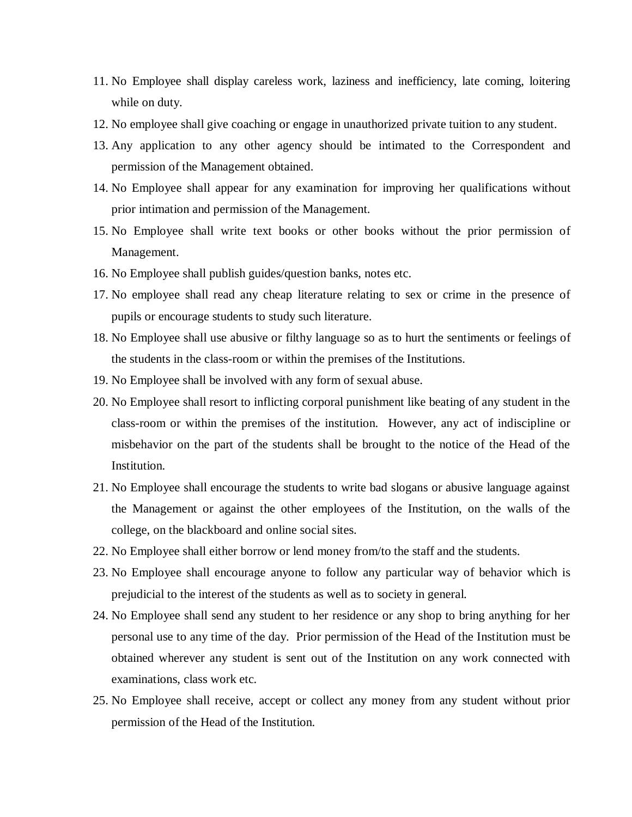- 11. No Employee shall display careless work, laziness and inefficiency, late coming, loitering while on duty.
- 12. No employee shall give coaching or engage in unauthorized private tuition to any student.
- 13. Any application to any other agency should be intimated to the Correspondent and permission of the Management obtained.
- 14. No Employee shall appear for any examination for improving her qualifications without prior intimation and permission of the Management.
- 15. No Employee shall write text books or other books without the prior permission of Management.
- 16. No Employee shall publish guides/question banks, notes etc.
- 17. No employee shall read any cheap literature relating to sex or crime in the presence of pupils or encourage students to study such literature.
- 18. No Employee shall use abusive or filthy language so as to hurt the sentiments or feelings of the students in the class-room or within the premises of the Institutions.
- 19. No Employee shall be involved with any form of sexual abuse.
- 20. No Employee shall resort to inflicting corporal punishment like beating of any student in the class-room or within the premises of the institution. However, any act of indiscipline or misbehavior on the part of the students shall be brought to the notice of the Head of the Institution.
- 21. No Employee shall encourage the students to write bad slogans or abusive language against the Management or against the other employees of the Institution, on the walls of the college, on the blackboard and online social sites.
- 22. No Employee shall either borrow or lend money from/to the staff and the students.
- 23. No Employee shall encourage anyone to follow any particular way of behavior which is prejudicial to the interest of the students as well as to society in general.
- 24. No Employee shall send any student to her residence or any shop to bring anything for her personal use to any time of the day. Prior permission of the Head of the Institution must be obtained wherever any student is sent out of the Institution on any work connected with examinations, class work etc.
- 25. No Employee shall receive, accept or collect any money from any student without prior permission of the Head of the Institution.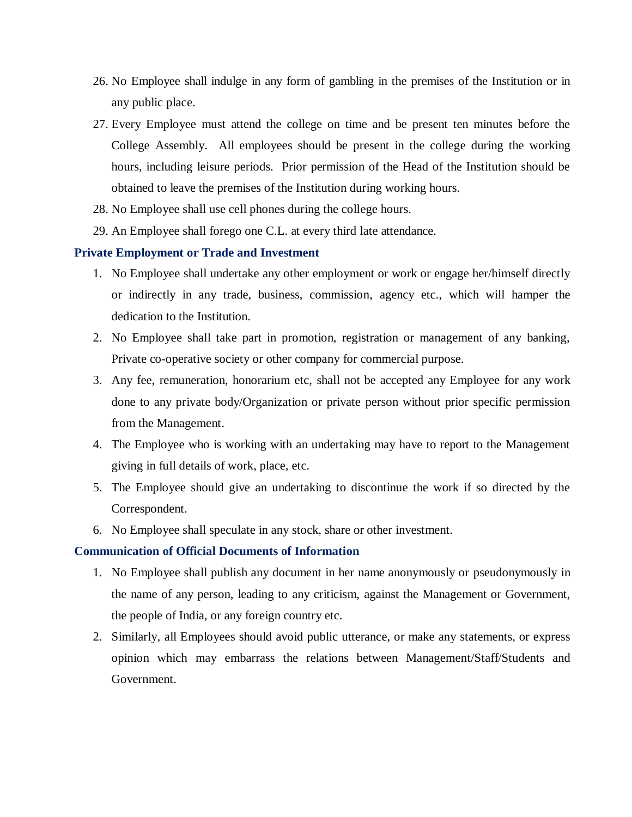- 26. No Employee shall indulge in any form of gambling in the premises of the Institution or in any public place.
- 27. Every Employee must attend the college on time and be present ten minutes before the College Assembly. All employees should be present in the college during the working hours, including leisure periods. Prior permission of the Head of the Institution should be obtained to leave the premises of the Institution during working hours.
- 28. No Employee shall use cell phones during the college hours.
- 29. An Employee shall forego one C.L. at every third late attendance.

## **Private Employment or Trade and Investment**

- 1. No Employee shall undertake any other employment or work or engage her/himself directly or indirectly in any trade, business, commission, agency etc., which will hamper the dedication to the Institution.
- 2. No Employee shall take part in promotion, registration or management of any banking, Private co-operative society or other company for commercial purpose.
- 3. Any fee, remuneration, honorarium etc, shall not be accepted any Employee for any work done to any private body/Organization or private person without prior specific permission from the Management.
- 4. The Employee who is working with an undertaking may have to report to the Management giving in full details of work, place, etc.
- 5. The Employee should give an undertaking to discontinue the work if so directed by the Correspondent.
- 6. No Employee shall speculate in any stock, share or other investment.

#### **Communication of Official Documents of Information**

- 1. No Employee shall publish any document in her name anonymously or pseudonymously in the name of any person, leading to any criticism, against the Management or Government, the people of India, or any foreign country etc.
- 2. Similarly, all Employees should avoid public utterance, or make any statements, or express opinion which may embarrass the relations between Management/Staff/Students and Government.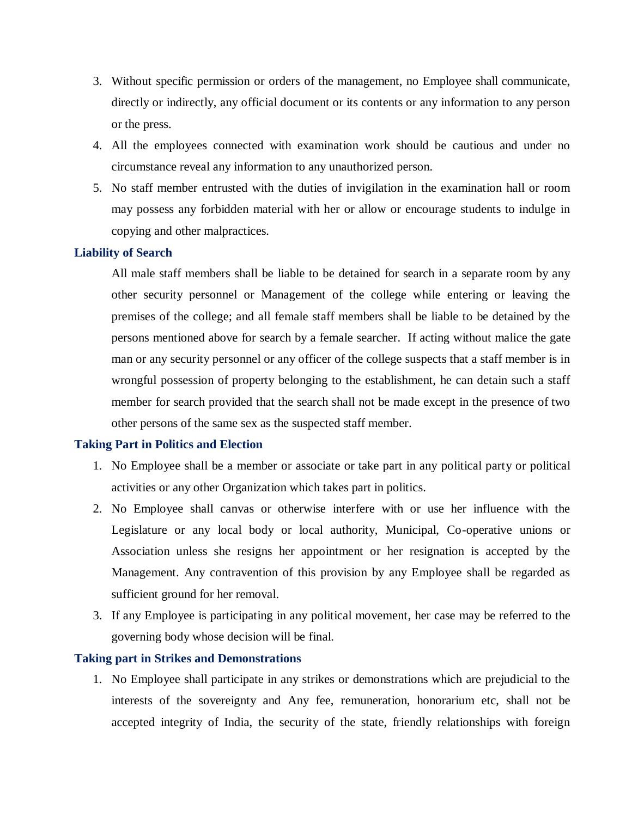- 3. Without specific permission or orders of the management, no Employee shall communicate, directly or indirectly, any official document or its contents or any information to any person or the press.
- 4. All the employees connected with examination work should be cautious and under no circumstance reveal any information to any unauthorized person.
- 5. No staff member entrusted with the duties of invigilation in the examination hall or room may possess any forbidden material with her or allow or encourage students to indulge in copying and other malpractices.

# **Liability of Search**

All male staff members shall be liable to be detained for search in a separate room by any other security personnel or Management of the college while entering or leaving the premises of the college; and all female staff members shall be liable to be detained by the persons mentioned above for search by a female searcher. If acting without malice the gate man or any security personnel or any officer of the college suspects that a staff member is in wrongful possession of property belonging to the establishment, he can detain such a staff member for search provided that the search shall not be made except in the presence of two other persons of the same sex as the suspected staff member.

#### **Taking Part in Politics and Election**

- 1. No Employee shall be a member or associate or take part in any political party or political activities or any other Organization which takes part in politics.
- 2. No Employee shall canvas or otherwise interfere with or use her influence with the Legislature or any local body or local authority, Municipal, Co-operative unions or Association unless she resigns her appointment or her resignation is accepted by the Management. Any contravention of this provision by any Employee shall be regarded as sufficient ground for her removal.
- 3. If any Employee is participating in any political movement, her case may be referred to the governing body whose decision will be final.

# **Taking part in Strikes and Demonstrations**

1. No Employee shall participate in any strikes or demonstrations which are prejudicial to the interests of the sovereignty and Any fee, remuneration, honorarium etc, shall not be accepted integrity of India, the security of the state, friendly relationships with foreign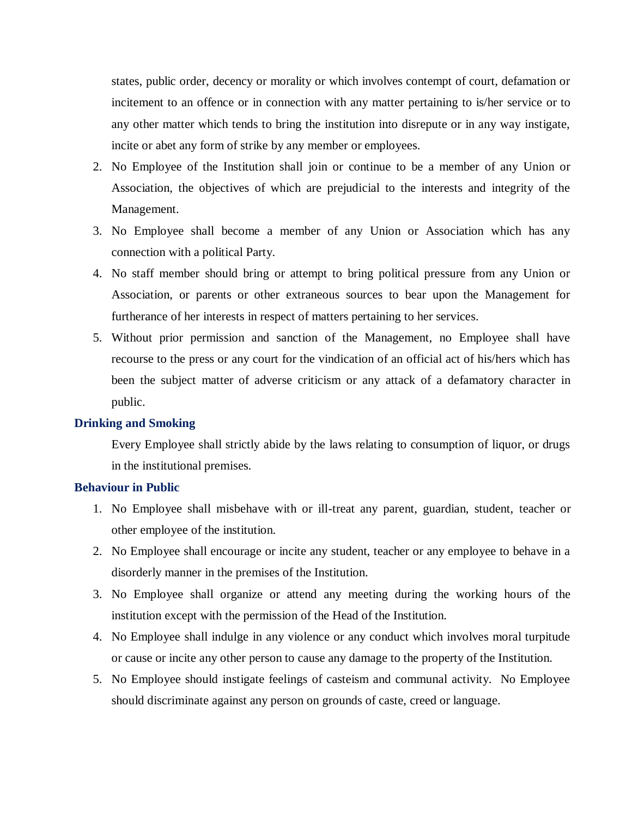states, public order, decency or morality or which involves contempt of court, defamation or incitement to an offence or in connection with any matter pertaining to is/her service or to any other matter which tends to bring the institution into disrepute or in any way instigate, incite or abet any form of strike by any member or employees.

- 2. No Employee of the Institution shall join or continue to be a member of any Union or Association, the objectives of which are prejudicial to the interests and integrity of the Management.
- 3. No Employee shall become a member of any Union or Association which has any connection with a political Party.
- 4. No staff member should bring or attempt to bring political pressure from any Union or Association, or parents or other extraneous sources to bear upon the Management for furtherance of her interests in respect of matters pertaining to her services.
- 5. Without prior permission and sanction of the Management, no Employee shall have recourse to the press or any court for the vindication of an official act of his/hers which has been the subject matter of adverse criticism or any attack of a defamatory character in public.

#### **Drinking and Smoking**

Every Employee shall strictly abide by the laws relating to consumption of liquor, or drugs in the institutional premises.

#### **Behaviour in Public**

- 1. No Employee shall misbehave with or ill-treat any parent, guardian, student, teacher or other employee of the institution.
- 2. No Employee shall encourage or incite any student, teacher or any employee to behave in a disorderly manner in the premises of the Institution.
- 3. No Employee shall organize or attend any meeting during the working hours of the institution except with the permission of the Head of the Institution.
- 4. No Employee shall indulge in any violence or any conduct which involves moral turpitude or cause or incite any other person to cause any damage to the property of the Institution.
- 5. No Employee should instigate feelings of casteism and communal activity. No Employee should discriminate against any person on grounds of caste, creed or language.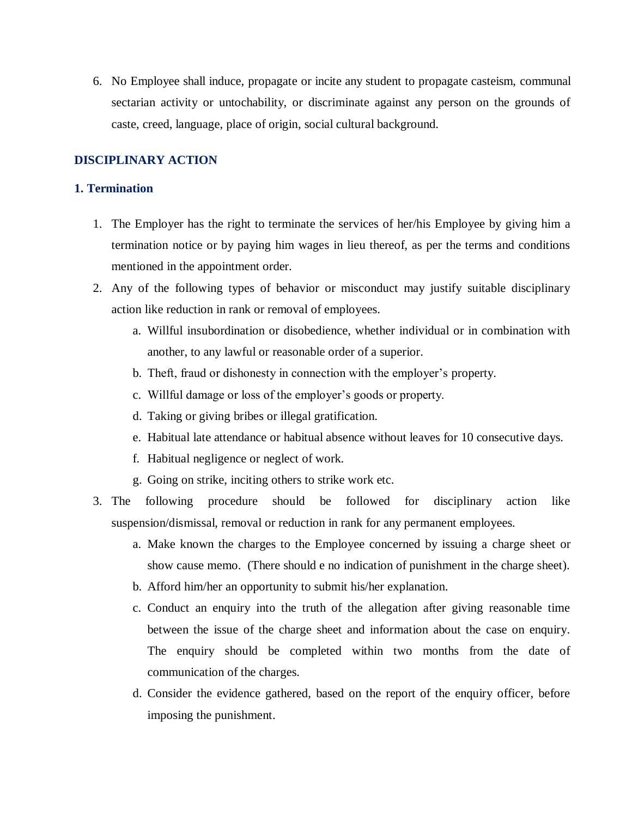6. No Employee shall induce, propagate or incite any student to propagate casteism, communal sectarian activity or untochability, or discriminate against any person on the grounds of caste, creed, language, place of origin, social cultural background.

# **DISCIPLINARY ACTION**

# **1. Termination**

- 1. The Employer has the right to terminate the services of her/his Employee by giving him a termination notice or by paying him wages in lieu thereof, as per the terms and conditions mentioned in the appointment order.
- 2. Any of the following types of behavior or misconduct may justify suitable disciplinary action like reduction in rank or removal of employees.
	- a. Willful insubordination or disobedience, whether individual or in combination with another, to any lawful or reasonable order of a superior.
	- b. Theft, fraud or dishonesty in connection with the employer's property.
	- c. Willful damage or loss of the employer's goods or property.
	- d. Taking or giving bribes or illegal gratification.
	- e. Habitual late attendance or habitual absence without leaves for 10 consecutive days.
	- f. Habitual negligence or neglect of work.
	- g. Going on strike, inciting others to strike work etc.
- 3. The following procedure should be followed for disciplinary action like suspension/dismissal, removal or reduction in rank for any permanent employees.
	- a. Make known the charges to the Employee concerned by issuing a charge sheet or show cause memo. (There should e no indication of punishment in the charge sheet).
	- b. Afford him/her an opportunity to submit his/her explanation.
	- c. Conduct an enquiry into the truth of the allegation after giving reasonable time between the issue of the charge sheet and information about the case on enquiry. The enquiry should be completed within two months from the date of communication of the charges.
	- d. Consider the evidence gathered, based on the report of the enquiry officer, before imposing the punishment.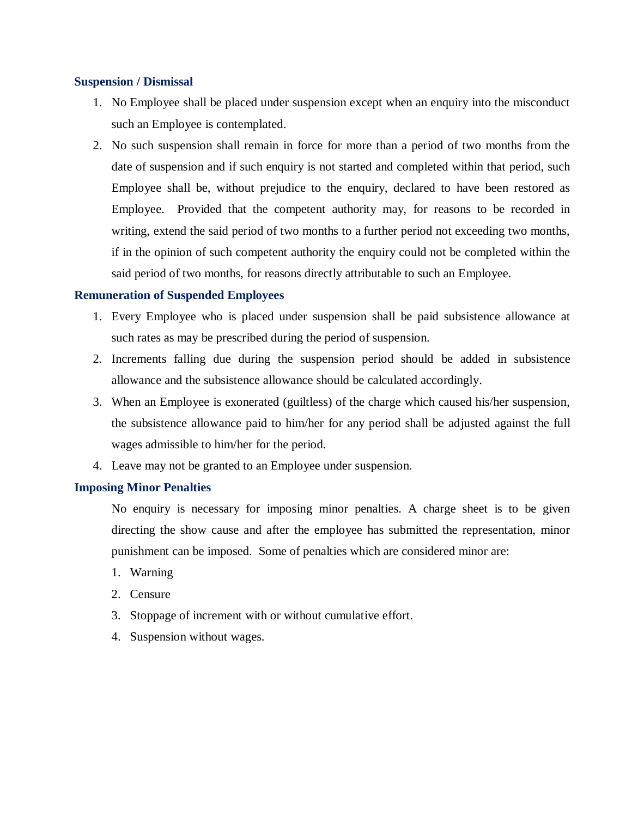## **Suspension / Dismissal**

- 1. No Employee shall be placed under suspension except when an enquiry into the misconduct such an Employee is contemplated.
- 2. No such suspension shall remain in force for more than a period of two months from the date of suspension and if such enquiry is not started and completed within that period, such Employee shall be, without prejudice to the enquiry, declared to have been restored as Employee. Provided that the competent authority may, for reasons to be recorded in writing, extend the said period of two months to a further period not exceeding two months, if in the opinion of such competent authority the enquiry could not be completed within the said period of two months, for reasons directly attributable to such an Employee.

# **Remuneration of Suspended Employees**

- 1. Every Employee who is placed under suspension shall be paid subsistence allowance at such rates as may be prescribed during the period of suspension.
- 2. Increments falling due during the suspension period should be added in subsistence allowance and the subsistence allowance should be calculated accordingly.
- 3. When an Employee is exonerated (guiltless) of the charge which caused his/her suspension, the subsistence allowance paid to him/her for any period shall be adjusted against the full wages admissible to him/her for the period.
- 4. Leave may not be granted to an Employee under suspension.

# **Imposing Minor Penalties**

No enquiry is necessary for imposing minor penalties. A charge sheet is to be given directing the show cause and after the employee has submitted the representation, minor punishment can be imposed. Some of penalties which are considered minor are:

- 1. Warning
- 2. Censure
- 3. Stoppage of increment with or without cumulative effort.
- 4. Suspension without wages.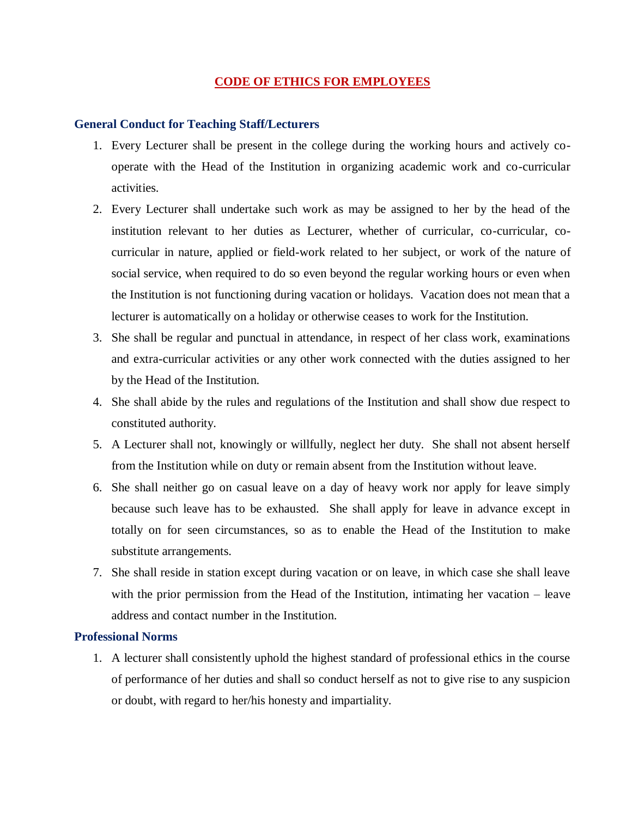## **CODE OF ETHICS FOR EMPLOYEES**

## **General Conduct for Teaching Staff/Lecturers**

- 1. Every Lecturer shall be present in the college during the working hours and actively cooperate with the Head of the Institution in organizing academic work and co-curricular activities.
- 2. Every Lecturer shall undertake such work as may be assigned to her by the head of the institution relevant to her duties as Lecturer, whether of curricular, co-curricular, cocurricular in nature, applied or field-work related to her subject, or work of the nature of social service, when required to do so even beyond the regular working hours or even when the Institution is not functioning during vacation or holidays. Vacation does not mean that a lecturer is automatically on a holiday or otherwise ceases to work for the Institution.
- 3. She shall be regular and punctual in attendance, in respect of her class work, examinations and extra-curricular activities or any other work connected with the duties assigned to her by the Head of the Institution.
- 4. She shall abide by the rules and regulations of the Institution and shall show due respect to constituted authority.
- 5. A Lecturer shall not, knowingly or willfully, neglect her duty. She shall not absent herself from the Institution while on duty or remain absent from the Institution without leave.
- 6. She shall neither go on casual leave on a day of heavy work nor apply for leave simply because such leave has to be exhausted. She shall apply for leave in advance except in totally on for seen circumstances, so as to enable the Head of the Institution to make substitute arrangements.
- 7. She shall reside in station except during vacation or on leave, in which case she shall leave with the prior permission from the Head of the Institution, intimating her vacation – leave address and contact number in the Institution.

# **Professional Norms**

1. A lecturer shall consistently uphold the highest standard of professional ethics in the course of performance of her duties and shall so conduct herself as not to give rise to any suspicion or doubt, with regard to her/his honesty and impartiality.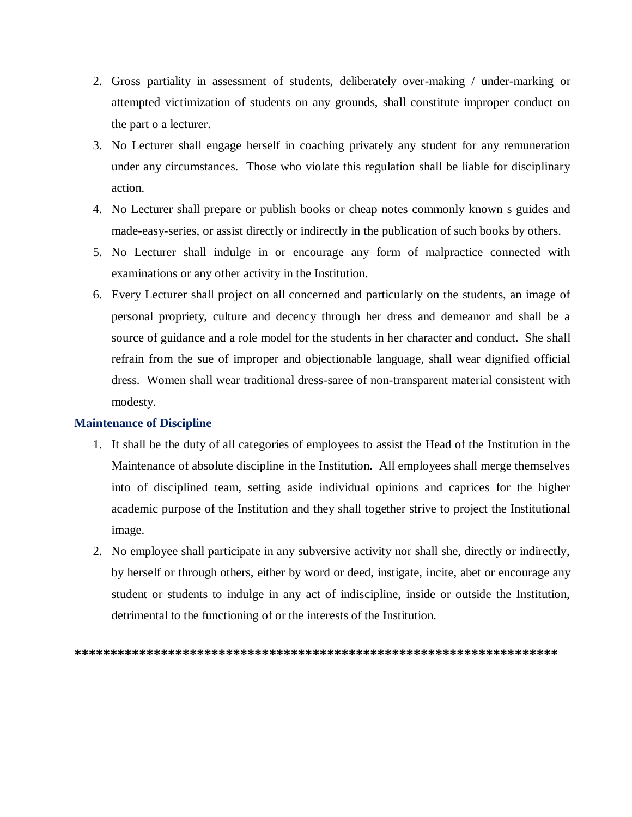- 2. Gross partiality in assessment of students, deliberately over-making / under-marking or attempted victimization of students on any grounds, shall constitute improper conduct on the part o a lecturer.
- 3. No Lecturer shall engage herself in coaching privately any student for any remuneration under any circumstances. Those who violate this regulation shall be liable for disciplinary action.
- 4. No Lecturer shall prepare or publish books or cheap notes commonly known s guides and made-easy-series, or assist directly or indirectly in the publication of such books by others.
- 5. No Lecturer shall indulge in or encourage any form of malpractice connected with examinations or any other activity in the Institution.
- 6. Every Lecturer shall project on all concerned and particularly on the students, an image of personal propriety, culture and decency through her dress and demeanor and shall be a source of guidance and a role model for the students in her character and conduct. She shall refrain from the sue of improper and objectionable language, shall wear dignified official dress. Women shall wear traditional dress-saree of non-transparent material consistent with modesty.

# **Maintenance of Discipline**

- 1. It shall be the duty of all categories of employees to assist the Head of the Institution in the Maintenance of absolute discipline in the Institution. All employees shall merge themselves into of disciplined team, setting aside individual opinions and caprices for the higher academic purpose of the Institution and they shall together strive to project the Institutional image.
- 2. No employee shall participate in any subversive activity nor shall she, directly or indirectly, by herself or through others, either by word or deed, instigate, incite, abet or encourage any student or students to indulge in any act of indiscipline, inside or outside the Institution, detrimental to the functioning of or the interests of the Institution.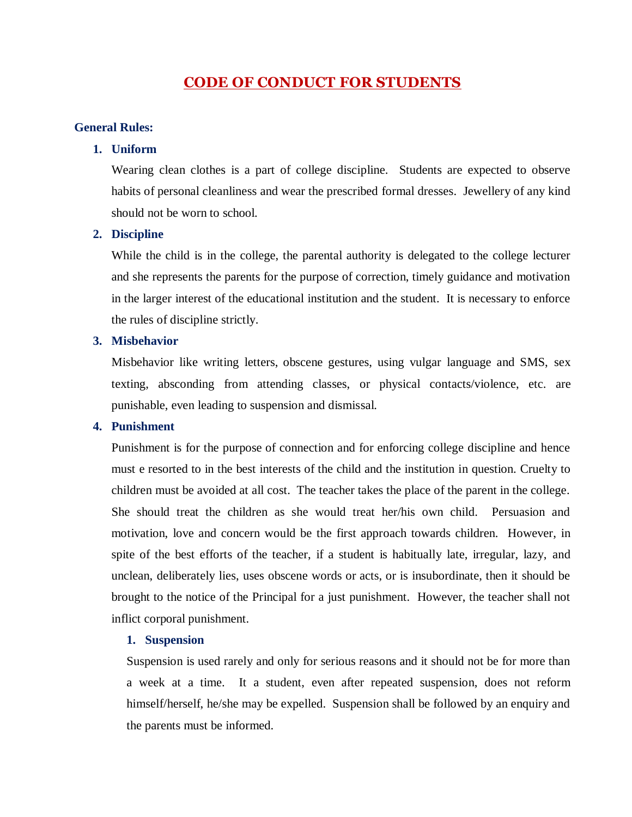# **CODE OF CONDUCT FOR STUDENTS**

#### **General Rules:**

#### **1. Uniform**

Wearing clean clothes is a part of college discipline. Students are expected to observe habits of personal cleanliness and wear the prescribed formal dresses. Jewellery of any kind should not be worn to school.

## **2. Discipline**

While the child is in the college, the parental authority is delegated to the college lecturer and she represents the parents for the purpose of correction, timely guidance and motivation in the larger interest of the educational institution and the student. It is necessary to enforce the rules of discipline strictly.

## **3. Misbehavior**

Misbehavior like writing letters, obscene gestures, using vulgar language and SMS, sex texting, absconding from attending classes, or physical contacts/violence, etc. are punishable, even leading to suspension and dismissal.

# **4. Punishment**

Punishment is for the purpose of connection and for enforcing college discipline and hence must e resorted to in the best interests of the child and the institution in question. Cruelty to children must be avoided at all cost. The teacher takes the place of the parent in the college. She should treat the children as she would treat her/his own child. Persuasion and motivation, love and concern would be the first approach towards children. However, in spite of the best efforts of the teacher, if a student is habitually late, irregular, lazy, and unclean, deliberately lies, uses obscene words or acts, or is insubordinate, then it should be brought to the notice of the Principal for a just punishment. However, the teacher shall not inflict corporal punishment.

# **1. Suspension**

Suspension is used rarely and only for serious reasons and it should not be for more than a week at a time. It a student, even after repeated suspension, does not reform himself/herself, he/she may be expelled. Suspension shall be followed by an enquiry and the parents must be informed.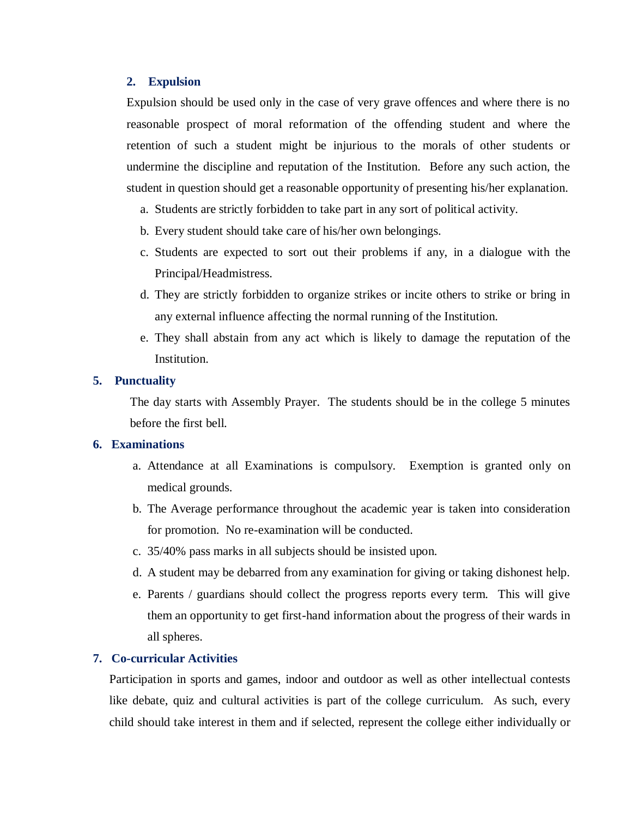#### **2. Expulsion**

Expulsion should be used only in the case of very grave offences and where there is no reasonable prospect of moral reformation of the offending student and where the retention of such a student might be injurious to the morals of other students or undermine the discipline and reputation of the Institution. Before any such action, the student in question should get a reasonable opportunity of presenting his/her explanation.

- a. Students are strictly forbidden to take part in any sort of political activity.
- b. Every student should take care of his/her own belongings.
- c. Students are expected to sort out their problems if any, in a dialogue with the Principal/Headmistress.
- d. They are strictly forbidden to organize strikes or incite others to strike or bring in any external influence affecting the normal running of the Institution.
- e. They shall abstain from any act which is likely to damage the reputation of the Institution.

# **5. Punctuality**

The day starts with Assembly Prayer. The students should be in the college 5 minutes before the first bell.

# **6. Examinations**

- a. Attendance at all Examinations is compulsory. Exemption is granted only on medical grounds.
- b. The Average performance throughout the academic year is taken into consideration for promotion. No re-examination will be conducted.
- c. 35/40% pass marks in all subjects should be insisted upon.
- d. A student may be debarred from any examination for giving or taking dishonest help.
- e. Parents / guardians should collect the progress reports every term. This will give them an opportunity to get first-hand information about the progress of their wards in all spheres.

# **7. Co-curricular Activities**

Participation in sports and games, indoor and outdoor as well as other intellectual contests like debate, quiz and cultural activities is part of the college curriculum. As such, every child should take interest in them and if selected, represent the college either individually or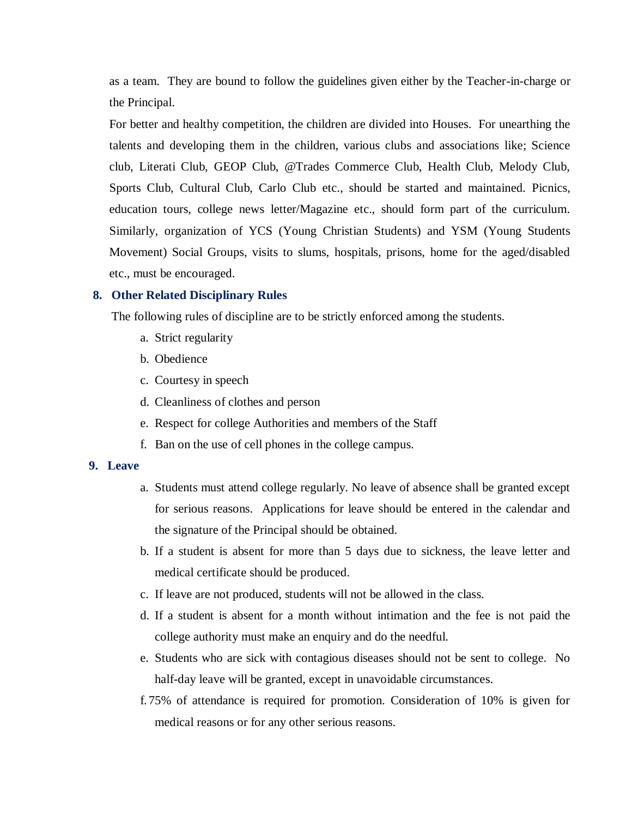as a team. They are bound to follow the guidelines given either by the Teacher-in-charge or the Principal.

For better and healthy competition, the children are divided into Houses. For unearthing the talents and developing them in the children, various clubs and associations like; Science club, Literati Club, GEOP Club, @Trades Commerce Club, Health Club, Melody Club, Sports Club, Cultural Club, Carlo Club etc., should be started and maintained. Picnics, education tours, college news letter/Magazine etc., should form part of the curriculum. Similarly, organization of YCS (Young Christian Students) and YSM (Young Students Movement) Social Groups, visits to slums, hospitals, prisons, home for the aged/disabled etc., must be encouraged.

#### **8. Other Related Disciplinary Rules**

The following rules of discipline are to be strictly enforced among the students.

- a. Strict regularity
- b. Obedience
- c. Courtesy in speech
- d. Cleanliness of clothes and person
- e. Respect for college Authorities and members of the Staff
- f. Ban on the use of cell phones in the college campus.

#### **9. Leave**

- a. Students must attend college regularly. No leave of absence shall be granted except for serious reasons. Applications for leave should be entered in the calendar and the signature of the Principal should be obtained.
- b. If a student is absent for more than 5 days due to sickness, the leave letter and medical certificate should be produced.
- c. If leave are not produced, students will not be allowed in the class.
- d. If a student is absent for a month without intimation and the fee is not paid the college authority must make an enquiry and do the needful.
- e. Students who are sick with contagious diseases should not be sent to college. No half-day leave will be granted, except in unavoidable circumstances.
- f. 75% of attendance is required for promotion. Consideration of 10% is given for medical reasons or for any other serious reasons.